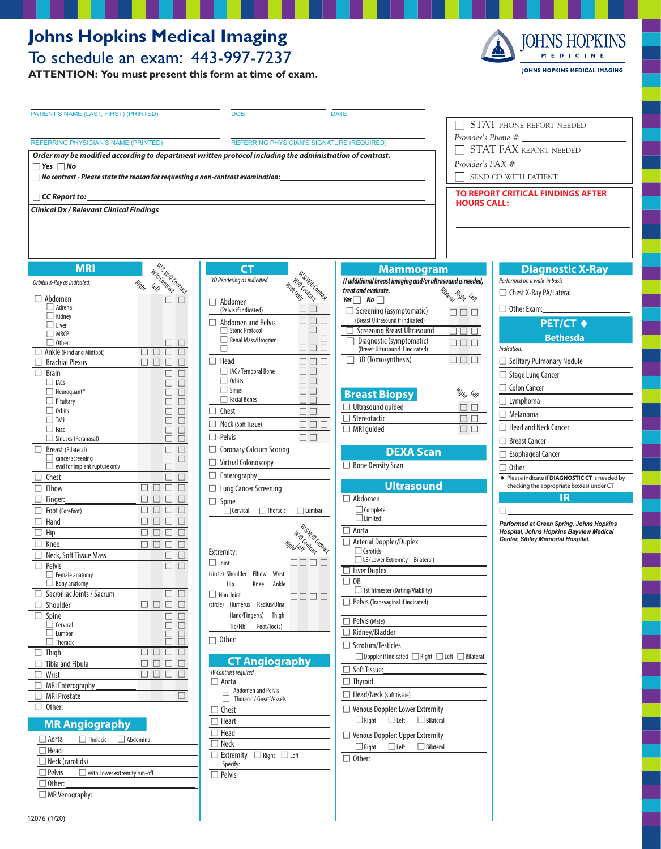#### **Johns Hopkins Medical Imaging** To schedule an exam: 443-997-7237

**ATTENTION: You must present this form at time of exam.**



| PATIENT'S NAME (LAST, FIRST) (PRINTED)                                                                                           | <b>DOB</b>                                                          | <b>DATE</b>                                                                      |                                                                                     |
|----------------------------------------------------------------------------------------------------------------------------------|---------------------------------------------------------------------|----------------------------------------------------------------------------------|-------------------------------------------------------------------------------------|
|                                                                                                                                  |                                                                     |                                                                                  | STAT PHONE REPORT NEEDED                                                            |
|                                                                                                                                  |                                                                     |                                                                                  | Provider's Phone #                                                                  |
| <b>REFERRING PHYSICIAN'S NAME (PRINTED)</b><br>REFERRING PHYSICIAN'S SIGNATURE (REQUIRED)                                        |                                                                     |                                                                                  | STAT FAX REPORT NEEDED                                                              |
| Order may be modified according to department written protocol including the administration of contrast.<br>$\Box$ Yes $\Box$ No |                                                                     |                                                                                  |                                                                                     |
| $\Box$ No contrast - Please state the reason for requesting a non-contrast examination:                                          |                                                                     |                                                                                  | SEND CD WITH PATIENT                                                                |
|                                                                                                                                  |                                                                     |                                                                                  |                                                                                     |
| $\Box$ CC Report to: $\Box$                                                                                                      |                                                                     |                                                                                  | <b>TO REPORT CRITICAL FINDINGS AFTER</b><br><b>HOURS CALL:</b>                      |
| <b>Clinical Dx / Relevant Clinical Findings</b>                                                                                  |                                                                     |                                                                                  |                                                                                     |
|                                                                                                                                  |                                                                     |                                                                                  |                                                                                     |
|                                                                                                                                  |                                                                     |                                                                                  |                                                                                     |
|                                                                                                                                  |                                                                     |                                                                                  |                                                                                     |
|                                                                                                                                  |                                                                     |                                                                                  |                                                                                     |
| W & W O Contrast<br><b>MRI</b><br>WO Contrast                                                                                    | <b>CT</b><br><b>International Report</b>                            | <b>Mammogram</b>                                                                 | <b>Diagnostic X-Ray</b>                                                             |
| Orbital X-Ray as indicated.<br>Right                                                                                             | 3D Rendering as indicated                                           | If additional breast imaging and/or ultrasound is needed,<br>treat and evaluate. | Performed on a walk-in basis                                                        |
| $\Box$ Abdomen<br>$\Box$ $\Box$                                                                                                  | $\Box$ Abdomen                                                      | Bilatera Right <sup>Lerg</sup><br>$Yes \Box No \Box$                             | □ Chest X-Ray PA/Lateral                                                            |
| $\Box$ Adrenal<br>$\Box$ Kidney                                                                                                  | (Pelvis if indicated)                                               | $\Box$ Screening (asymptomatic)<br>888                                           | $\Box$ Other Exam:                                                                  |
| $\Box$ Liver                                                                                                                     | $\Box \Box \Box$<br>$\Box$ Abdomen and Pelvis<br>$\Box$             | (Breast Ultrasound if indicated)                                                 | <b>PET/CT ♦</b>                                                                     |
| $\Box$ MRCP                                                                                                                      | Stone Protocol<br>□<br>Renal Mass/Urogram                           | □ Screening Breast Ultrasound<br>$\Box$ $\Box$<br>Diagnostic (symptomatic)       | $\Box$<br><b>Bethesda</b>                                                           |
| $\Box$ Other:<br>$\Box$ $\Box$<br>Ankle (Hind and Midfoot)<br>$\Box$ $\Box$ $\Box$<br>П.                                         | 888<br>□                                                            | $\Box \Box \Box$<br>(Breast Ultrasound if indicated)                             | Indication:                                                                         |
| $\Box$<br><b>Brachial Plexus</b><br>$\Box$ $\Box$<br>$\Box$                                                                      | $\Box$ Head<br>$\Box$ $\Box$ $\Box$                                 | $\Box$ 3D (Tomosynthesis)<br>$\Box \ \Box \ \Box$                                | □ Solitary Pulmonary Nodule                                                         |
| Brain<br>$\Box$<br>$\Box$                                                                                                        | □ IAC / Temporal Bone<br>$\Box$ $\Box$                              |                                                                                  | $\Box$ Stage Lung Cancer                                                            |
| $\Box$ IACs<br>$\Box$<br>$\Box$<br>$\Box$ Neuroquant <sup>®</sup><br>$\Box$<br>$\Box$                                            | $\Box$ Orbits<br>$\Box$ Box<br>$\Box$ Sinus<br>$\square \; \square$ |                                                                                  | $\Box$ Colon Cancer                                                                 |
| $\Box$ Pituitary<br>$\Box$<br>$\Box$                                                                                             | $\Box$ Facial Bones<br>$\Box$ $\Box$                                | <b>Breast Biopsy</b>                                                             | Rig <sub>ht</sub> Left<br>$\Box$ Lymphoma                                           |
| $\Box$ Orbits<br>$\Box$<br>$\Box$                                                                                                | $\Box$ Chest<br>$\Box$ Box                                          | $\Box$ Ultrasound guided<br>□ Stereotactic                                       | $\Box$<br>$\Box$ Melanoma                                                           |
| $\square$ TMJ<br>$\Box$<br>$\Box$<br>$\Box$ Face<br>$\Box$<br>$\Box$                                                             | Neck (Soft Tissue)<br>$\Box \Box \Box$<br>П                         | $\Box$ MRI guided                                                                | $\Box$<br>$\Box$ Head and Neck Cancer<br>$\Box$                                     |
| $\Box$ Sinuses (Paranasal)<br>П<br>$\Box$                                                                                        | П<br>Pelvis<br>$\Box$                                               |                                                                                  | □ Breast Cancer                                                                     |
| Breast (Bilateral)<br>$\Box$ $\Box$                                                                                              | □ Coronary Calcium Scoring                                          | <b>DEXA Scan</b>                                                                 | $\Box$ Esophageal Cancer                                                            |
| $\Box$ cancer screening<br>$\Box$<br>$\Box$ eval for implant rupture only<br>$\Box$                                              | Virtual Colonoscopy                                                 | □ Bone Density Scan                                                              | $\Box$ Other                                                                        |
| $\Box$ Chest<br>$\Box$<br>$\Box$                                                                                                 | $\Box$ Enterography $\Box$                                          |                                                                                  | ♦ Please indicate if DIAGNOSTIC CT is needed by                                     |
| $\Box$<br>$\Box$<br>Elbow                                                                                                        | $\Box$ Lung Cancer Screening                                        | <b>Ultrasound</b>                                                                | checking the appropriate box(es) under CT                                           |
| $\Box$ $\Box$ $\Box$<br>$\Box$<br>Finger:                                                                                        | $\Box$ Spine                                                        | $\Box$ Abdomen                                                                   | IR                                                                                  |
| 888<br>Foot (Forefoot)<br>888<br>Hand                                                                                            | □ Cervical □ Thoracic<br>$\Box$ Lumbar                              | $\Box$ Complete<br>$\Box$ Limited:                                               |                                                                                     |
| Hip<br>$\Box$ $\Box$<br>$\Box$                                                                                                   | <b>W. C. O. Maria St.</b>                                           | $\Box$ Aorta                                                                     | Performed at Green Spring, Johns Hopkins<br>Hospital, Johns Hopkins Bayview Medical |
| Knee<br>$\Box$                                                                                                                   |                                                                     | $\Box$ Arterial Doppler/Duplex                                                   | Center, Sibley Memorial Hospital.                                                   |
| Neck, Soft Tissue Mass<br>$\Box$ $\Box$                                                                                          | Extremity:                                                          | $\Box$ Carotids<br>$\Box$ LE (Lower Extremity – Bilateral)                       |                                                                                     |
| $\Box$ $\Box$<br>Pelvis                                                                                                          | 88888<br>$\Box$ Joint<br>(circle) Shoulder Elbow                    | $\Box$ Liver Duplex                                                              |                                                                                     |
| $\Box$ Female anatomy<br>$\Box$ Bony anatomy                                                                                     | Wrist<br>Hip<br>Knee<br>Ankle                                       | $\Box$ OB                                                                        |                                                                                     |
| Sacroiliac Joints / Sacrum<br>$\Box$ $\Box$                                                                                      | $\Box$ Non-Joint<br>8888                                            | □ 1st Trimester (Dating/Viability)                                               |                                                                                     |
| ПП<br>$\Box$<br>Shoulder<br>$\Box$                                                                                               | (circle) Humerus Radius/Ulna                                        | $\Box$ Pelvis (Transvaginal if indicated)                                        |                                                                                     |
| $\Box$ Spine<br>$\Box$<br>ш<br>$\Box$ Cervical                                                                                   | Hand/Finger(s) Thigh                                                | $\Box$ Pelvis (Male)                                                             |                                                                                     |
| $\Box$<br>$\Box$<br>$\Box$ Lumbar<br>□<br>□                                                                                      | Tib/Fib<br>Foot/Toe(s)                                              | □ Kidney/Bladder                                                                 |                                                                                     |
| $\Box$ Thoracic<br>□                                                                                                             | $\Box$ Other:                                                       | $\Box$ Scrotum/Testicles                                                         |                                                                                     |
| $\Box$<br>$\Box$ Thigh<br>$\Box$<br>⊔<br>⊔<br>$\Box$<br>□<br>$\Box$<br>$\Box$<br>$\Box$ Tibia and Fibula                         | <b>CT Angiography</b>                                               | □ Doppler if indicated ■ Right ■ Left ■ Bilateral                                |                                                                                     |
| $\Box$ $\Box$ $\Box$<br>Wrist<br>П                                                                                               | <b>IV Contrast required</b>                                         | $\Box$ Soft Tissue:                                                              |                                                                                     |
| <b>MRI Enterography</b>                                                                                                          | $\Box$ Aorta                                                        | $\Box$ Thyroid                                                                   |                                                                                     |
| MRI Prostate                                                                                                                     | Abdomen and Pelvis<br>Thoracic / Great Vessels                      | $\Box$ Head/Neck (soft tissue)                                                   |                                                                                     |
| $\Box$ Other:                                                                                                                    | $\Box$ Chest                                                        | □ Venous Doppler: Lower Extremity                                                |                                                                                     |
| <b>MR Angiography</b>                                                                                                            | $\Box$ Heart                                                        | $\Box$ Right<br>$\Box$ Left<br>$\Box$ Bilateral                                  |                                                                                     |
| $\Box$ Aorta<br>$\Box$ Thoracic<br>$\Box$ Abdominal                                                                              | $\Box$ Head                                                         | □ Venous Doppler: Upper Extremity                                                |                                                                                     |
| $\Box$ Head                                                                                                                      | $\Box$ Neck                                                         | $\Box$ Left<br>$\Box$ Right<br>$\Box$ Bilateral                                  |                                                                                     |
| $\Box$ Neck (carotids)                                                                                                           | $\Box$ Extremity $\Box$ Right $\Box$ Left<br>Specify:               | $\Box$ Other:                                                                    |                                                                                     |
| $\Box$ Pelvis<br>$\Box$ with Lower extremity run-off                                                                             | $\Box$ Pelvis                                                       |                                                                                  |                                                                                     |

 $\Box$  Other:  $\square$  MR Venography: